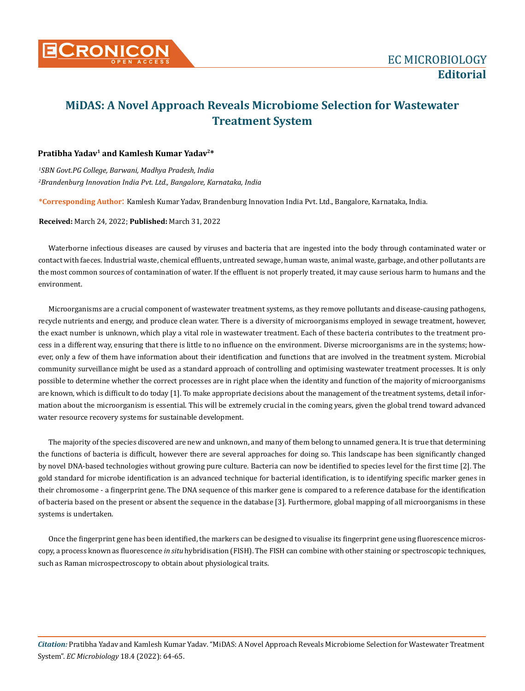

## **MiDAS: A Novel Approach Reveals Microbiome Selection for Wastewater Treatment System**

## **Pratibha Yadav1 and Kamlesh Kumar Yadav2\***

*1 SBN Govt.PG College, Barwani, Madhya Pradesh, India 2 Brandenburg Innovation India Pvt. Ltd., Bangalore, Karnataka, India*

**\*Corresponding Author**: Kamlesh Kumar Yadav, Brandenburg Innovation India Pvt. Ltd., Bangalore, Karnataka, India.

**Received:** March 24, 2022; **Published:** March 31, 2022

Waterborne infectious diseases are caused by viruses and bacteria that are ingested into the body through contaminated water or contact with faeces. Industrial waste, chemical effluents, untreated sewage, human waste, animal waste, garbage, and other pollutants are the most common sources of contamination of water. If the effluent is not properly treated, it may cause serious harm to humans and the environment.

Microorganisms are a crucial component of wastewater treatment systems, as they remove pollutants and disease-causing pathogens, recycle nutrients and energy, and produce clean water. There is a diversity of microorganisms employed in sewage treatment, however, the exact number is unknown, which play a vital role in wastewater treatment. Each of these bacteria contributes to the treatment process in a different way, ensuring that there is little to no influence on the environment. Diverse microorganisms are in the systems; however, only a few of them have information about their identification and functions that are involved in the treatment system. Microbial community surveillance might be used as a standard approach of controlling and optimising wastewater treatment processes. It is only possible to determine whether the correct processes are in right place when the identity and function of the majority of microorganisms are known, which is difficult to do today [1]. To make appropriate decisions about the management of the treatment systems, detail information about the microorganism is essential. This will be extremely crucial in the coming years, given the global trend toward advanced water resource recovery systems for sustainable development.

The majority of the species discovered are new and unknown, and many of them belong to unnamed genera. It is true that determining the functions of bacteria is difficult, however there are several approaches for doing so. This landscape has been significantly changed by novel DNA-based technologies without growing pure culture. Bacteria can now be identified to species level for the first time [2]. The gold standard for microbe identification is an advanced technique for bacterial identification, is to identifying specific marker genes in their chromosome - a fingerprint gene. The DNA sequence of this marker gene is compared to a reference database for the identification of bacteria based on the present or absent the sequence in the database [3]. Furthermore, global mapping of all microorganisms in these systems is undertaken.

Once the fingerprint gene has been identified, the markers can be designed to visualise its fingerprint gene using fluorescence microscopy, a process known as fluorescence *in situ* hybridisation (FISH). The FISH can combine with other staining or spectroscopic techniques, such as Raman microspectroscopy to obtain about physiological traits.

*Citation:* Pratibha Yadav and Kamlesh Kumar Yadav*.* "MiDAS: A Novel Approach Reveals Microbiome Selection for Wastewater Treatment System". *EC Microbiology* 18.4 (2022): 64-65.